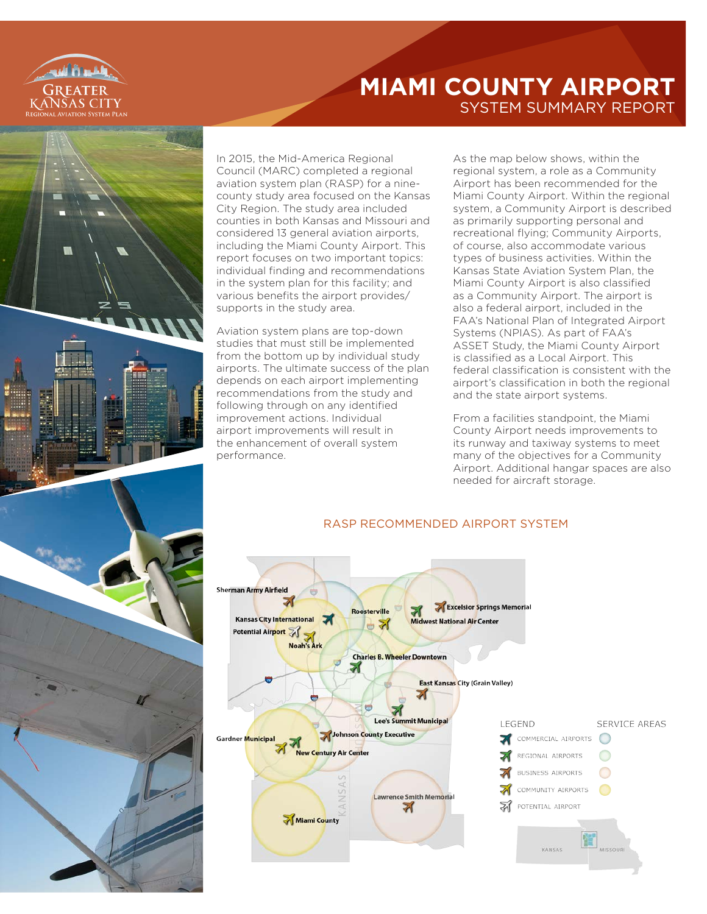

# **MIAMI COUNTY AIRPORT** SYSTEM SUMMARY REPORT



In 2015, the Mid-America Regional Council (MARC) completed a regional aviation system plan (RASP) for a ninecounty study area focused on the Kansas City Region. The study area included counties in both Kansas and Missouri and considered 13 general aviation airports, including the Miami County Airport. This report focuses on two important topics: individual finding and recommendations in the system plan for this facility; and various benefits the airport provides/ supports in the study area.

Aviation system plans are top-down studies that must still be implemented from the bottom up by individual study airports. The ultimate success of the plan depends on each airport implementing recommendations from the study and following through on any identified improvement actions. Individual airport improvements will result in the enhancement of overall system performance.

As the map below shows, within the regional system, a role as a Community Airport has been recommended for the Miami County Airport. Within the regional system, a Community Airport is described as primarily supporting personal and recreational flying; Community Airports, of course, also accommodate various types of business activities. Within the Kansas State Aviation System Plan, the Miami County Airport is also classified as a Community Airport. The airport is also a federal airport, included in the FAA's National Plan of Integrated Airport Systems (NPIAS). As part of FAA's ASSET Study, the Miami County Airport is classified as a Local Airport. This federal classification is consistent with the airport's classification in both the regional and the state airport systems.

From a facilities standpoint, the Miami County Airport needs improvements to its runway and taxiway systems to meet many of the objectives for a Community Airport. Additional hangar spaces are also needed for aircraft storage.



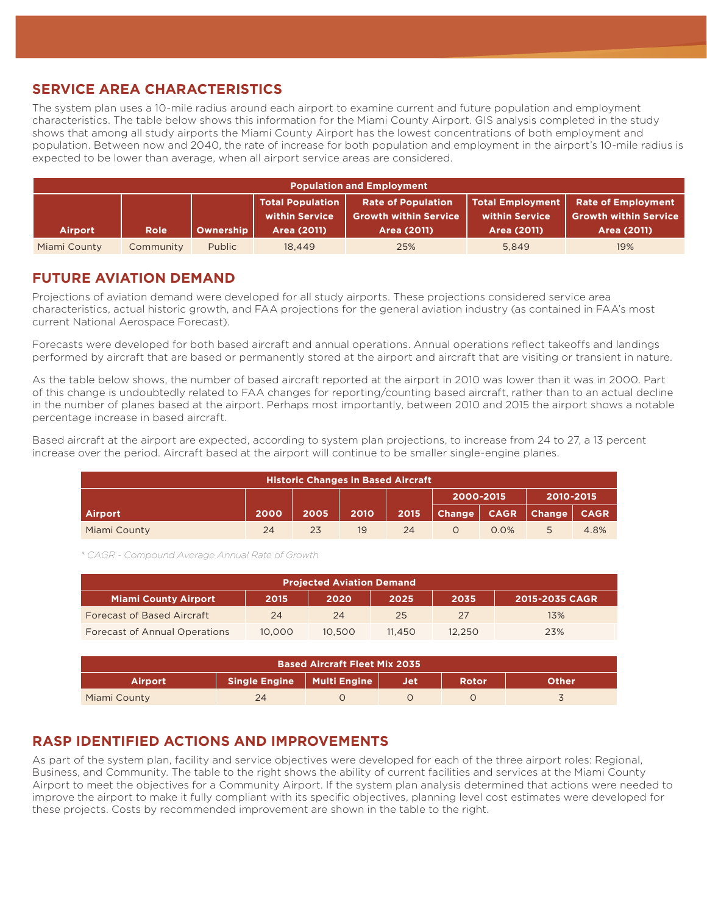#### **SERVICE AREA CHARACTERISTICS**

The system plan uses a 10-mile radius around each airport to examine current and future population and employment characteristics. The table below shows this information for the Miami County Airport. GIS analysis completed in the study shows that among all study airports the Miami County Airport has the lowest concentrations of both employment and population. Between now and 2040, the rate of increase for both population and employment in the airport's 10-mile radius is expected to be lower than average, when all airport service areas are considered.

| <b>Population and Employment</b> |                                                                          |                  |             |             |             |     |  |  |
|----------------------------------|--------------------------------------------------------------------------|------------------|-------------|-------------|-------------|-----|--|--|
| <b>Airport</b>                   | <b>Rate of Employment</b><br><b>Growth within Service</b><br>Area (2011) |                  |             |             |             |     |  |  |
|                                  | <b>Role</b>                                                              | <b>Ownership</b> | Area (2011) | Area (2011) | Area (2011) |     |  |  |
| Miami County                     | Community                                                                | <b>Public</b>    | 18,449      | 25%         | 5.849       | 19% |  |  |

#### **FUTURE AVIATION DEMAND**

Projections of aviation demand were developed for all study airports. These projections considered service area characteristics, actual historic growth, and FAA projections for the general aviation industry (as contained in FAA's most current National Aerospace Forecast).

Forecasts were developed for both based aircraft and annual operations. Annual operations reflect takeoffs and landings performed by aircraft that are based or permanently stored at the airport and aircraft that are visiting or transient in nature.

As the table below shows, the number of based aircraft reported at the airport in 2010 was lower than it was in 2000. Part of this change is undoubtedly related to FAA changes for reporting/counting based aircraft, rather than to an actual decline in the number of planes based at the airport. Perhaps most importantly, between 2010 and 2015 the airport shows a notable percentage increase in based aircraft.

Based aircraft at the airport are expected, according to system plan projections, to increase from 24 to 27, a 13 percent increase over the period. Aircraft based at the airport will continue to be smaller single-engine planes.

| <b>Historic Changes in Based Aircraft</b> |      |      |      |      |                        |         |                               |      |
|-------------------------------------------|------|------|------|------|------------------------|---------|-------------------------------|------|
|                                           |      |      |      |      | 2000-2015<br>2010-2015 |         |                               |      |
| <b>Airport</b>                            | 2000 | 2005 | 2010 | 2015 |                        |         | Change   CAGR   Change   CAGR |      |
| Miami County                              | 24   | 23   | 19   | 24   |                        | $0.0\%$ | 5                             | 4.8% |

*\* CAGR - Compound Average Annual Rate of Growth*

| <b>Projected Aviation Demand</b>                                              |        |        |        |        |     |  |  |  |
|-------------------------------------------------------------------------------|--------|--------|--------|--------|-----|--|--|--|
| <b>Miami County Airport</b><br>2020<br>2015-2035 CAGR<br>2015<br>2025<br>2035 |        |        |        |        |     |  |  |  |
| <b>Forecast of Based Aircraft</b>                                             | 24     | 24     | 25     | 27     | 13% |  |  |  |
| <b>Forecast of Annual Operations</b>                                          | 10,000 | 10.500 | 11.450 | 12.250 | 23% |  |  |  |

| <b>Based Aircraft Fleet Mix 2035</b>                                                      |    |  |  |  |  |  |  |  |
|-------------------------------------------------------------------------------------------|----|--|--|--|--|--|--|--|
| Single Engine   Multi Engine  <br><b>Rotor</b><br><b>Other</b><br><b>Airport</b><br>. Jet |    |  |  |  |  |  |  |  |
| Miami County                                                                              | 24 |  |  |  |  |  |  |  |

### **RASP IDENTIFIED ACTIONS AND IMPROVEMENTS**

As part of the system plan, facility and service objectives were developed for each of the three airport roles: Regional, Business, and Community. The table to the right shows the ability of current facilities and services at the Miami County Airport to meet the objectives for a Community Airport. If the system plan analysis determined that actions were needed to improve the airport to make it fully compliant with its specific objectives, planning level cost estimates were developed for these projects. Costs by recommended improvement are shown in the table to the right.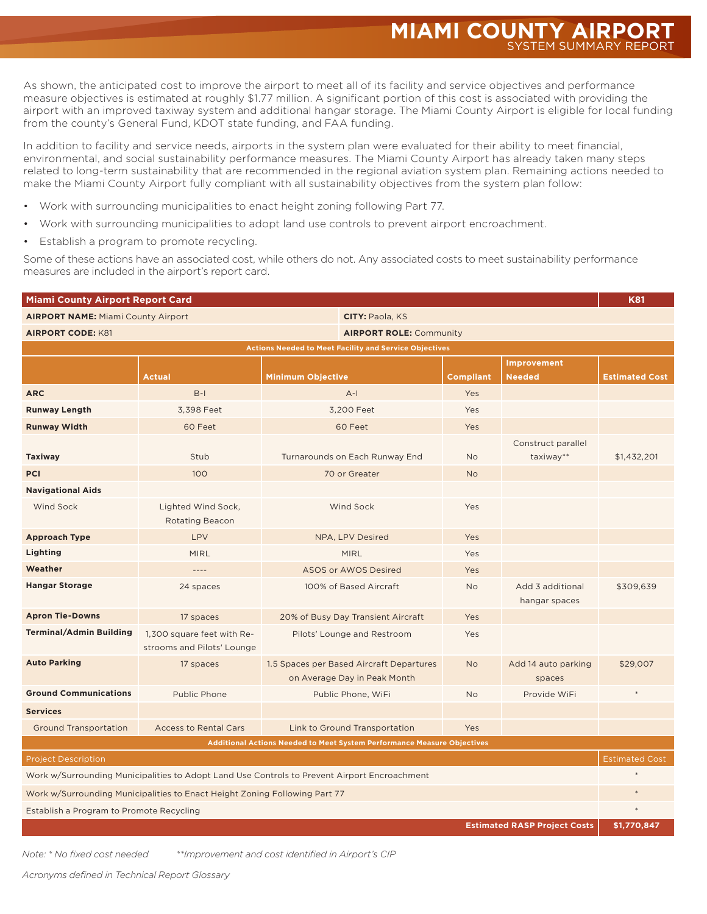As shown, the anticipated cost to improve the airport to meet all of its facility and service objectives and performance measure objectives is estimated at roughly \$1.77 million. A significant portion of this cost is associated with providing the airport with an improved taxiway system and additional hangar storage. The Miami County Airport is eligible for local funding from the county's General Fund, KDOT state funding, and FAA funding.

In addition to facility and service needs, airports in the system plan were evaluated for their ability to meet financial, environmental, and social sustainability performance measures. The Miami County Airport has already taken many steps related to long-term sustainability that are recommended in the regional aviation system plan. Remaining actions needed to make the Miami County Airport fully compliant with all sustainability objectives from the system plan follow:

- Work with surrounding municipalities to enact height zoning following Part 77.
- Work with surrounding municipalities to adopt land use controls to prevent airport encroachment.
- Establish a program to promote recycling.

Some of these actions have an associated cost, while others do not. Any associated costs to meet sustainability performance measures are included in the airport's report card.

| <b>Miami County Airport Report Card</b>                                                      |                                                          |                          |                                                                          |                  |                                   |                       |  |  |
|----------------------------------------------------------------------------------------------|----------------------------------------------------------|--------------------------|--------------------------------------------------------------------------|------------------|-----------------------------------|-----------------------|--|--|
| <b>AIRPORT NAME: Miami County Airport</b>                                                    |                                                          |                          | <b>CITY: Paola, KS</b>                                                   |                  |                                   |                       |  |  |
| <b>AIRPORT CODE: K81</b>                                                                     |                                                          |                          | <b>AIRPORT ROLE: Community</b>                                           |                  |                                   |                       |  |  |
| <b>Actions Needed to Meet Facility and Service Objectives</b>                                |                                                          |                          |                                                                          |                  |                                   |                       |  |  |
|                                                                                              |                                                          |                          |                                                                          |                  | Improvement                       |                       |  |  |
|                                                                                              | Actual                                                   | <b>Minimum Objective</b> |                                                                          | <b>Compliant</b> | <b>Needed</b>                     | <b>Estimated Cost</b> |  |  |
| <b>ARC</b>                                                                                   | $B-I$                                                    | $A-I$                    |                                                                          | Yes              |                                   |                       |  |  |
| <b>Runway Length</b>                                                                         | 3,398 Feet                                               |                          | 3,200 Feet                                                               | Yes              |                                   |                       |  |  |
| <b>Runway Width</b>                                                                          | 60 Feet                                                  |                          | 60 Feet                                                                  | Yes              |                                   |                       |  |  |
|                                                                                              | Stub                                                     |                          |                                                                          | <b>No</b>        | Construct parallel                |                       |  |  |
| <b>Taxiway</b>                                                                               |                                                          |                          | Turnarounds on Each Runway End                                           |                  | taxiway**                         | \$1,432,201           |  |  |
| <b>PCI</b>                                                                                   | 100                                                      |                          | 70 or Greater                                                            | <b>No</b>        |                                   |                       |  |  |
| <b>Navigational Aids</b>                                                                     |                                                          |                          |                                                                          |                  |                                   |                       |  |  |
| <b>Wind Sock</b>                                                                             | Lighted Wind Sock,<br><b>Rotating Beacon</b>             |                          | <b>Wind Sock</b>                                                         | Yes              |                                   |                       |  |  |
| <b>Approach Type</b>                                                                         | LPV                                                      |                          | NPA, LPV Desired                                                         | Yes              |                                   |                       |  |  |
| Lighting                                                                                     | <b>MIRL</b>                                              |                          | <b>MIRL</b>                                                              | Yes              |                                   |                       |  |  |
| Weather                                                                                      | $---$                                                    |                          | ASOS or AWOS Desired                                                     | Yes              |                                   |                       |  |  |
| <b>Hangar Storage</b>                                                                        | 24 spaces                                                | 100% of Based Aircraft   |                                                                          | <b>No</b>        | Add 3 additional<br>hangar spaces | \$309,639             |  |  |
| <b>Apron Tie-Downs</b>                                                                       | 17 spaces                                                |                          | 20% of Busy Day Transient Aircraft                                       | Yes              |                                   |                       |  |  |
| <b>Terminal/Admin Building</b>                                                               | 1,300 square feet with Re-<br>strooms and Pilots' Lounge |                          | Pilots' Lounge and Restroom                                              | Yes              |                                   |                       |  |  |
| <b>Auto Parking</b>                                                                          | 17 spaces                                                |                          | 1.5 Spaces per Based Aircraft Departures<br>on Average Day in Peak Month | <b>No</b>        | Add 14 auto parking<br>spaces     | \$29,007              |  |  |
| <b>Ground Communications</b>                                                                 | Public Phone                                             |                          | Public Phone, WiFi                                                       | <b>No</b>        | Provide WiFi                      |                       |  |  |
| <b>Services</b>                                                                              |                                                          |                          |                                                                          |                  |                                   |                       |  |  |
| <b>Ground Transportation</b>                                                                 | <b>Access to Rental Cars</b>                             |                          | Link to Ground Transportation                                            | Yes              |                                   |                       |  |  |
| Additional Actions Needed to Meet System Performance Measure Objectives                      |                                                          |                          |                                                                          |                  |                                   |                       |  |  |
| <b>Project Description</b>                                                                   |                                                          |                          |                                                                          |                  |                                   |                       |  |  |
| Work w/Surrounding Municipalities to Adopt Land Use Controls to Prevent Airport Encroachment |                                                          |                          |                                                                          |                  |                                   |                       |  |  |
| Work w/Surrounding Municipalities to Enact Height Zoning Following Part 77                   |                                                          |                          |                                                                          |                  |                                   |                       |  |  |
| Establish a Program to Promote Recycling                                                     |                                                          |                          |                                                                          |                  |                                   |                       |  |  |
| <b>Estimated RASP Project Costs</b>                                                          |                                                          |                          |                                                                          |                  |                                   |                       |  |  |

*Note: \* No fixed cost needed \*\*Improvement and cost identified in Airport's CIP*

*Acronyms defined in Technical Report Glossary*